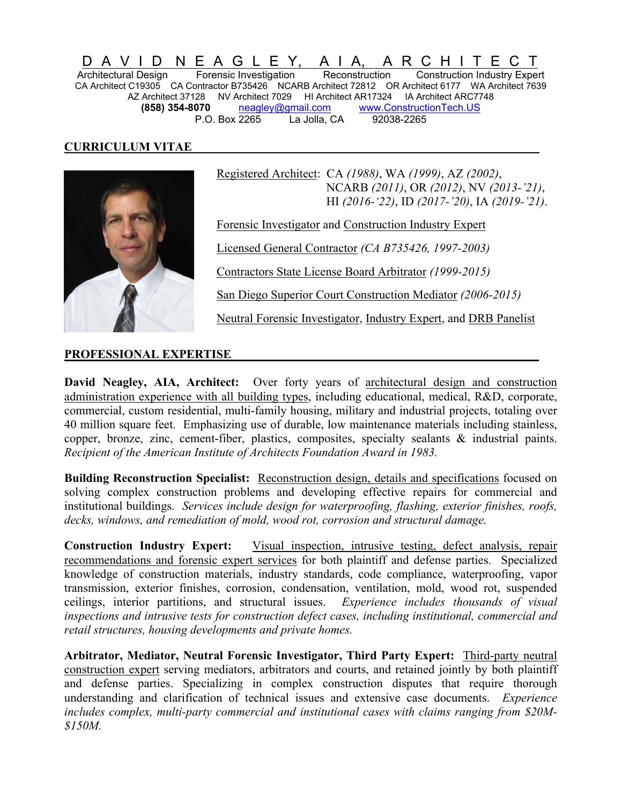D A V I D N E A G L E Y, A I A, A R C H I T E C T Architectural Design Forensic Investigation Reconstruction Construction Industry Expert CA Architect C19305 CA Contractor B735426 NCARB Architect 72812 OR Architect 6177 WA Architect 7639 AZ Architect 37128 NV Architect 7029 HI Architect AR17324 IA Architect ARC7748 **(858) 354-8070** [neagley@gmail.com](mailto:neagley@gmail.com) [www.ConstructionTech.US](http://www.constructiontech.us/) P.O. Box 2265 La Jolla, CA 92038-2265

#### **CURRICULUM VITAE \_\_**



 Registered Architect: CA *(1988)*, WA *(1999)*, AZ *(2002)*, NCARB *(2011)*, OR *(2012)*, NV *(2013-'21)*, HI *(2016-'22)*, ID *(2017-'20)*, IA *(2019-'21)*.

Forensic Investigator and Construction Industry Expert

Licensed General Contractor *(CA B735426, 1997-2003)*

Contractors State License Board Arbitrator *(1999-2015)*

San Diego Superior Court Construction Mediator *(2006-2015)*

Neutral Forensic Investigator, Industry Expert, and DRB Panelist

#### PROFESSIONAL EXPERTISE

**David Neagley, AIA, Architect:** Over forty years of architectural design and construction administration experience with all building types, including educational, medical, R&D, corporate, commercial, custom residential, multi-family housing, military and industrial projects, totaling over 40 million square feet. Emphasizing use of durable, low maintenance materials including stainless, copper, bronze, zinc, cement-fiber, plastics, composites, specialty sealants & industrial paints. *Recipient of the American Institute of Architects Foundation Award in 1983.*

**Building Reconstruction Specialist:** Reconstruction design, details and specifications focused on solving complex construction problems and developing effective repairs for commercial and institutional buildings. *Services include design for waterproofing, flashing, exterior finishes, roofs, decks, windows, and remediation of mold, wood rot, corrosion and structural damage.*

**Construction Industry Expert:** Visual inspection, intrusive testing, defect analysis, repair recommendations and forensic expert services for both plaintiff and defense parties. Specialized knowledge of construction materials, industry standards, code compliance, waterproofing, vapor transmission, exterior finishes, corrosion, condensation, ventilation, mold, wood rot, suspended ceilings, interior partitions, and structural issues. *Experience includes thousands of visual inspections and intrusive tests for construction defect cases, including institutional, commercial and retail structures, housing developments and private homes.*

**Arbitrator, Mediator, Neutral Forensic Investigator, Third Party Expert:** Third-party neutral construction expert serving mediators, arbitrators and courts, and retained jointly by both plaintiff and defense parties. Specializing in complex construction disputes that require thorough understanding and clarification of technical issues and extensive case documents. *Experience includes complex, multi-party commercial and institutional cases with claims ranging from \$20M- \$150M.*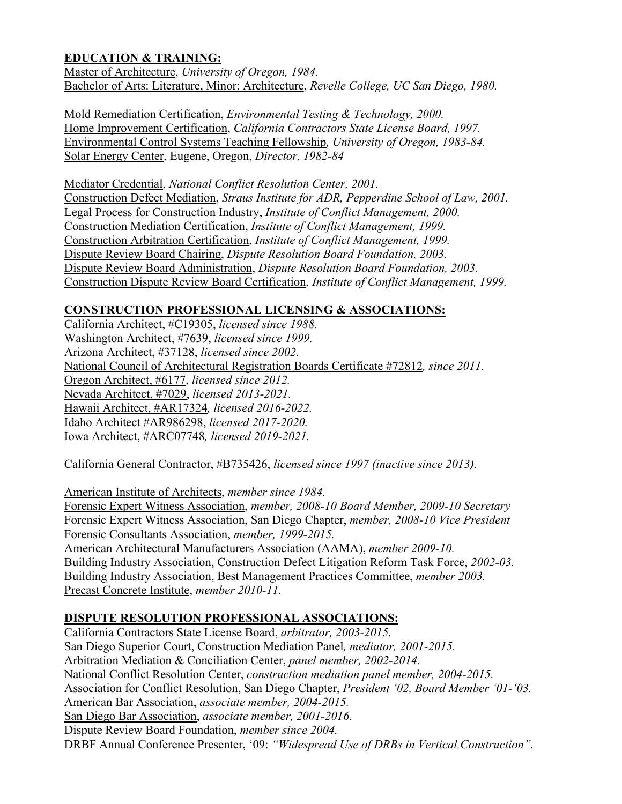## **EDUCATION & TRAINING:**

Master of Architecture, *University of Oregon, 1984.* Bachelor of Arts: Literature, Minor: Architecture, *Revelle College, UC San Diego, 1980.*

Mold Remediation Certification, *Environmental Testing & Technology, 2000.* Home Improvement Certification, *California Contractors State License Board, 1997.* Environmental Control Systems Teaching Fellowship*, University of Oregon, 1983-84.* Solar Energy Center, Eugene, Oregon, *Director, 1982-84*

Mediator Credential, *National Conflict Resolution Center, 2001.* Construction Defect Mediation, *Straus Institute for ADR, Pepperdine School of Law, 2001.* Legal Process for Construction Industry, *Institute of Conflict Management, 2000.* Construction Mediation Certification, *Institute of Conflict Management, 1999.* Construction Arbitration Certification, *Institute of Conflict Management, 1999.* Dispute Review Board Chairing, *Dispute Resolution Board Foundation, 2003.* Dispute Review Board Administration, *Dispute Resolution Board Foundation, 2003.* Construction Dispute Review Board Certification, *Institute of Conflict Management, 1999.*

### **CONSTRUCTION PROFESSIONAL LICENSING & ASSOCIATIONS:**

California Architect, #C19305, *licensed since 1988.* Washington Architect, #7639, *licensed since 1999.* Arizona Architect, #37128, *licensed since 2002.* National Council of Architectural Registration Boards Certificate #72812*, since 2011.* Oregon Architect, #6177, *licensed since 2012.* Nevada Architect, #7029, *licensed 2013-2021.* Hawaii Architect, #AR17324*, licensed 2016-2022.* Idaho Architect #AR986298, *licensed 2017-2020.* Iowa Architect, #ARC07748*, licensed 2019-2021.*

California General Contractor, #B735426, *licensed since 1997 (inactive since 2013).*

American Institute of Architects, *member since 1984.* Forensic Expert Witness Association, *member, 2008-10 Board Member, 2009-10 Secretary* Forensic Expert Witness Association, San Diego Chapter, *member, 2008-10 Vice President* Forensic Consultants Association, *member, 1999-2015.* American Architectural Manufacturers Association (AAMA), *member 2009-10.* Building Industry Association, Construction Defect Litigation Reform Task Force, *2002-03.* Building Industry Association, Best Management Practices Committee, *member 2003.* Precast Concrete Institute, *member 2010-11.*

#### **DISPUTE RESOLUTION PROFESSIONAL ASSOCIATIONS:**

California Contractors State License Board, *arbitrator, 2003-2015.* San Diego Superior Court, Construction Mediation Panel*, mediator, 2001-2015.* Arbitration Mediation & Conciliation Center, *panel member, 2002-2014.* National Conflict Resolution Center, *construction mediation panel member, 2004-2015.* Association for Conflict Resolution, San Diego Chapter, *President '02, Board Member '01-'03.* American Bar Association, *associate member, 2004-2015.* San Diego Bar Association, *associate member, 2001-2016.* Dispute Review Board Foundation, *member since 2004.* DRBF Annual Conference Presenter, '09: *"Widespread Use of DRBs in Vertical Construction".*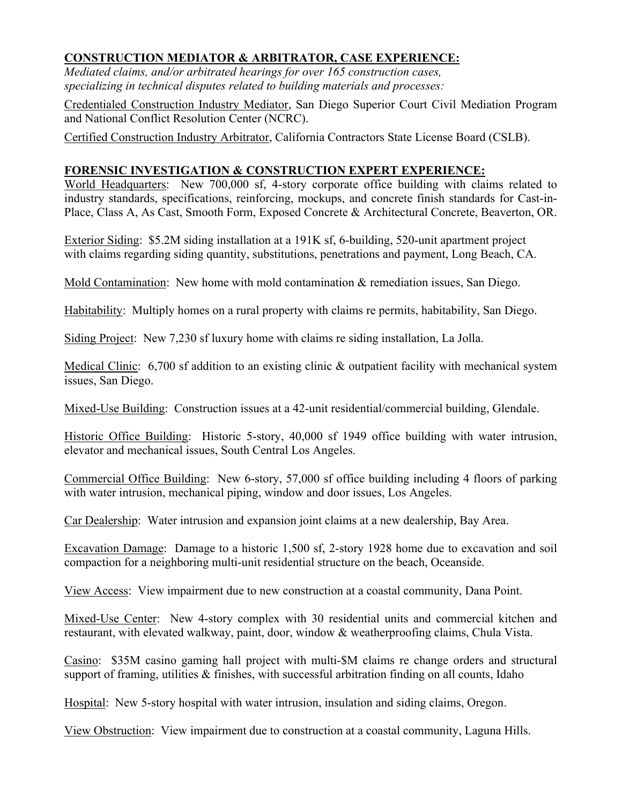## **CONSTRUCTION MEDIATOR & ARBITRATOR, CASE EXPERIENCE:**

*Mediated claims, and/or arbitrated hearings for over 165 construction cases, specializing in technical disputes related to building materials and processes:*

Credentialed Construction Industry Mediator, San Diego Superior Court Civil Mediation Program and National Conflict Resolution Center (NCRC).

Certified Construction Industry Arbitrator, California Contractors State License Board (CSLB).

### **FORENSIC INVESTIGATION & CONSTRUCTION EXPERT EXPERIENCE:**

World Headquarters: New 700,000 sf, 4-story corporate office building with claims related to industry standards, specifications, reinforcing, mockups, and concrete finish standards for Cast-in-Place, Class A, As Cast, Smooth Form, Exposed Concrete & Architectural Concrete, Beaverton, OR.

Exterior Siding: \$5.2M siding installation at a 191K sf, 6-building, 520-unit apartment project with claims regarding siding quantity, substitutions, penetrations and payment, Long Beach, CA.

Mold Contamination: New home with mold contamination & remediation issues, San Diego.

Habitability: Multiply homes on a rural property with claims re permits, habitability, San Diego.

Siding Project: New 7,230 sf luxury home with claims re siding installation, La Jolla.

Medical Clinic: 6,700 sf addition to an existing clinic & outpatient facility with mechanical system issues, San Diego.

Mixed-Use Building: Construction issues at a 42-unit residential/commercial building, Glendale.

Historic Office Building: Historic 5-story, 40,000 sf 1949 office building with water intrusion, elevator and mechanical issues, South Central Los Angeles.

Commercial Office Building: New 6-story, 57,000 sf office building including 4 floors of parking with water intrusion, mechanical piping, window and door issues, Los Angeles.

Car Dealership: Water intrusion and expansion joint claims at a new dealership, Bay Area.

Excavation Damage: Damage to a historic 1,500 sf, 2-story 1928 home due to excavation and soil compaction for a neighboring multi-unit residential structure on the beach, Oceanside.

View Access: View impairment due to new construction at a coastal community, Dana Point.

Mixed-Use Center: New 4-story complex with 30 residential units and commercial kitchen and restaurant, with elevated walkway, paint, door, window & weatherproofing claims, Chula Vista.

Casino: \$35M casino gaming hall project with multi-\$M claims re change orders and structural support of framing, utilities & finishes, with successful arbitration finding on all counts, Idaho

Hospital: New 5-story hospital with water intrusion, insulation and siding claims, Oregon.

View Obstruction: View impairment due to construction at a coastal community, Laguna Hills.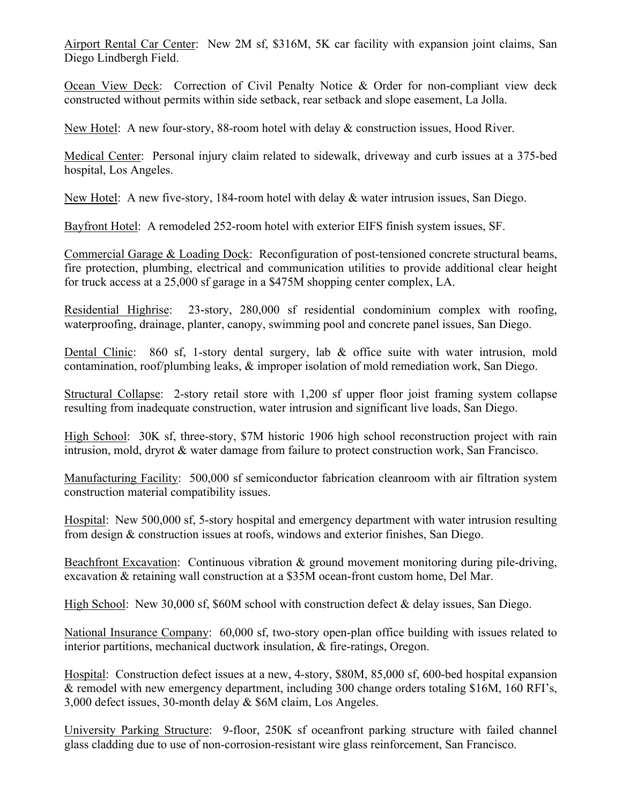Airport Rental Car Center: New 2M sf, \$316M, 5K car facility with expansion joint claims, San Diego Lindbergh Field.

Ocean View Deck: Correction of Civil Penalty Notice & Order for non-compliant view deck constructed without permits within side setback, rear setback and slope easement, La Jolla.

New Hotel: A new four-story, 88-room hotel with delay & construction issues, Hood River.

Medical Center: Personal injury claim related to sidewalk, driveway and curb issues at a 375-bed hospital, Los Angeles.

New Hotel: A new five-story, 184-room hotel with delay & water intrusion issues, San Diego.

Bayfront Hotel: A remodeled 252-room hotel with exterior EIFS finish system issues, SF.

Commercial Garage & Loading Dock: Reconfiguration of post-tensioned concrete structural beams, fire protection, plumbing, electrical and communication utilities to provide additional clear height for truck access at a 25,000 sf garage in a \$475M shopping center complex, LA.

Residential Highrise: 23-story, 280,000 sf residential condominium complex with roofing, waterproofing, drainage, planter, canopy, swimming pool and concrete panel issues, San Diego.

Dental Clinic: 860 sf, 1-story dental surgery, lab & office suite with water intrusion, mold contamination, roof/plumbing leaks, & improper isolation of mold remediation work, San Diego.

Structural Collapse: 2-story retail store with 1,200 sf upper floor joist framing system collapse resulting from inadequate construction, water intrusion and significant live loads, San Diego.

High School: 30K sf, three-story, \$7M historic 1906 high school reconstruction project with rain intrusion, mold, dryrot & water damage from failure to protect construction work, San Francisco.

Manufacturing Facility: 500,000 sf semiconductor fabrication cleanroom with air filtration system construction material compatibility issues.

Hospital: New 500,000 sf, 5-story hospital and emergency department with water intrusion resulting from design & construction issues at roofs, windows and exterior finishes, San Diego.

Beachfront Excavation: Continuous vibration & ground movement monitoring during pile-driving, excavation & retaining wall construction at a \$35M ocean-front custom home, Del Mar.

High School: New 30,000 sf, \$60M school with construction defect & delay issues, San Diego.

National Insurance Company: 60,000 sf, two-story open-plan office building with issues related to interior partitions, mechanical ductwork insulation, & fire-ratings, Oregon.

Hospital: Construction defect issues at a new, 4-story, \$80M, 85,000 sf, 600-bed hospital expansion & remodel with new emergency department, including 300 change orders totaling \$16M, 160 RFI's, 3,000 defect issues, 30-month delay & \$6M claim, Los Angeles.

University Parking Structure: 9-floor, 250K sf oceanfront parking structure with failed channel glass cladding due to use of non-corrosion-resistant wire glass reinforcement, San Francisco.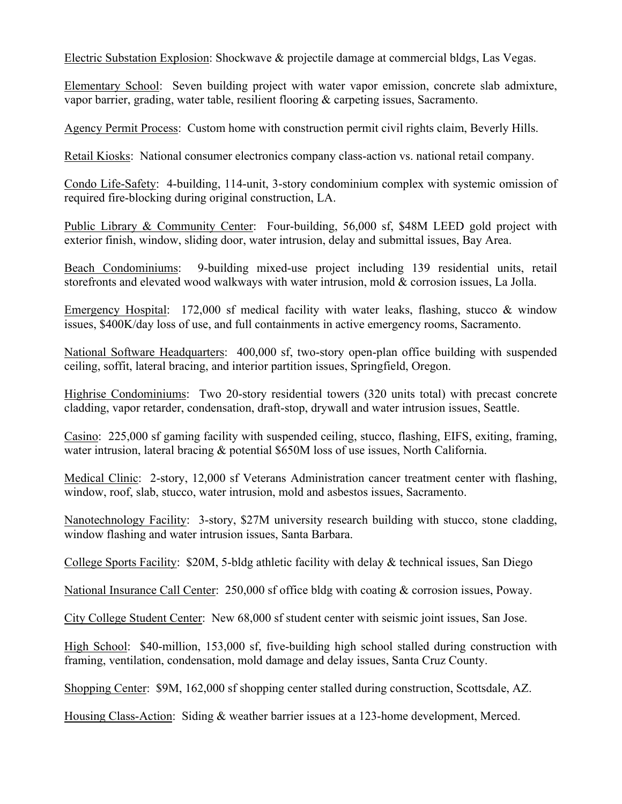Electric Substation Explosion: Shockwave & projectile damage at commercial bldgs, Las Vegas.

Elementary School: Seven building project with water vapor emission, concrete slab admixture, vapor barrier, grading, water table, resilient flooring & carpeting issues, Sacramento.

Agency Permit Process: Custom home with construction permit civil rights claim, Beverly Hills.

Retail Kiosks: National consumer electronics company class-action vs. national retail company.

Condo Life-Safety: 4-building, 114-unit, 3-story condominium complex with systemic omission of required fire-blocking during original construction, LA.

Public Library & Community Center: Four-building, 56,000 sf, \$48M LEED gold project with exterior finish, window, sliding door, water intrusion, delay and submittal issues, Bay Area.

Beach Condominiums: 9-building mixed-use project including 139 residential units, retail storefronts and elevated wood walkways with water intrusion, mold & corrosion issues, La Jolla.

Emergency Hospital: 172,000 sf medical facility with water leaks, flashing, stucco & window issues, \$400K/day loss of use, and full containments in active emergency rooms, Sacramento.

National Software Headquarters: 400,000 sf, two-story open-plan office building with suspended ceiling, soffit, lateral bracing, and interior partition issues, Springfield, Oregon.

Highrise Condominiums: Two 20-story residential towers (320 units total) with precast concrete cladding, vapor retarder, condensation, draft-stop, drywall and water intrusion issues, Seattle.

Casino: 225,000 sf gaming facility with suspended ceiling, stucco, flashing, EIFS, exiting, framing, water intrusion, lateral bracing & potential \$650M loss of use issues, North California.

Medical Clinic: 2-story, 12,000 sf Veterans Administration cancer treatment center with flashing, window, roof, slab, stucco, water intrusion, mold and asbestos issues, Sacramento.

Nanotechnology Facility: 3-story, \$27M university research building with stucco, stone cladding, window flashing and water intrusion issues, Santa Barbara.

College Sports Facility: \$20M, 5-bldg athletic facility with delay & technical issues, San Diego

National Insurance Call Center: 250,000 sf office bldg with coating & corrosion issues, Poway.

City College Student Center: New 68,000 sf student center with seismic joint issues, San Jose.

High School: \$40-million, 153,000 sf, five-building high school stalled during construction with framing, ventilation, condensation, mold damage and delay issues, Santa Cruz County.

Shopping Center: \$9M, 162,000 sf shopping center stalled during construction, Scottsdale, AZ.

Housing Class-Action: Siding & weather barrier issues at a 123-home development, Merced.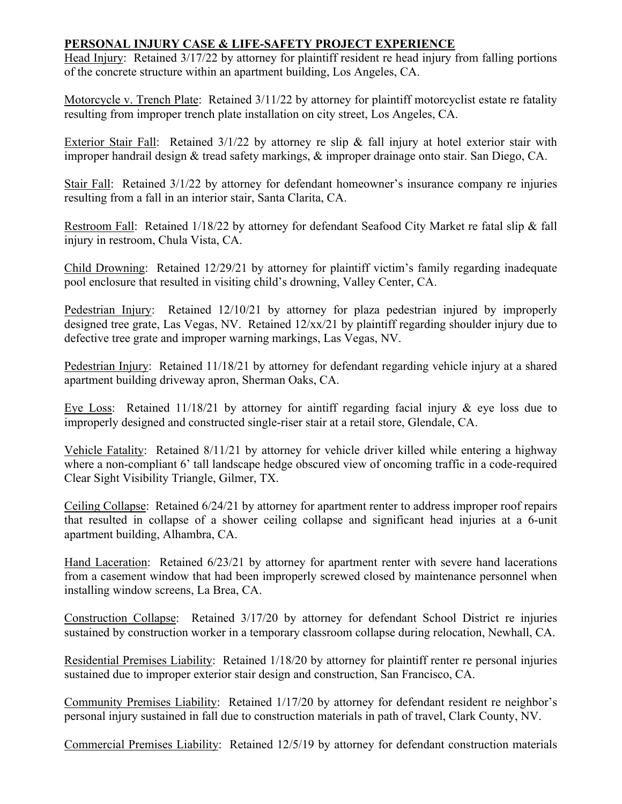## **PERSONAL INJURY CASE & LIFE-SAFETY PROJECT EXPERIENCE**

Head Injury: Retained 3/17/22 by attorney for plaintiff resident re head injury from falling portions of the concrete structure within an apartment building, Los Angeles, CA.

Motorcycle v. Trench Plate: Retained 3/11/22 by attorney for plaintiff motorcyclist estate re fatality resulting from improper trench plate installation on city street, Los Angeles, CA.

Exterior Stair Fall: Retained  $3/1/22$  by attorney re slip & fall injury at hotel exterior stair with improper handrail design & tread safety markings, & improper drainage onto stair. San Diego, CA.

Stair Fall: Retained 3/1/22 by attorney for defendant homeowner's insurance company re injuries resulting from a fall in an interior stair, Santa Clarita, CA.

Restroom Fall: Retained 1/18/22 by attorney for defendant Seafood City Market re fatal slip & fall injury in restroom, Chula Vista, CA.

Child Drowning: Retained 12/29/21 by attorney for plaintiff victim's family regarding inadequate pool enclosure that resulted in visiting child's drowning, Valley Center, CA.

Pedestrian Injury: Retained 12/10/21 by attorney for plaza pedestrian injured by improperly designed tree grate, Las Vegas, NV. Retained 12/xx/21 by plaintiff regarding shoulder injury due to defective tree grate and improper warning markings, Las Vegas, NV.

Pedestrian Injury: Retained 11/18/21 by attorney for defendant regarding vehicle injury at a shared apartment building driveway apron, Sherman Oaks, CA.

Eye Loss: Retained 11/18/21 by attorney for aintiff regarding facial injury & eye loss due to improperly designed and constructed single-riser stair at a retail store, Glendale, CA.

Vehicle Fatality: Retained 8/11/21 by attorney for vehicle driver killed while entering a highway where a non-compliant 6' tall landscape hedge obscured view of oncoming traffic in a code-required Clear Sight Visibility Triangle, Gilmer, TX.

Ceiling Collapse: Retained 6/24/21 by attorney for apartment renter to address improper roof repairs that resulted in collapse of a shower ceiling collapse and significant head injuries at a 6-unit apartment building, Alhambra, CA.

Hand Laceration: Retained 6/23/21 by attorney for apartment renter with severe hand lacerations from a casement window that had been improperly screwed closed by maintenance personnel when installing window screens, La Brea, CA.

Construction Collapse: Retained 3/17/20 by attorney for defendant School District re injuries sustained by construction worker in a temporary classroom collapse during relocation, Newhall, CA.

Residential Premises Liability: Retained 1/18/20 by attorney for plaintiff renter re personal injuries sustained due to improper exterior stair design and construction, San Francisco, CA.

Community Premises Liability: Retained 1/17/20 by attorney for defendant resident re neighbor's personal injury sustained in fall due to construction materials in path of travel, Clark County, NV.

Commercial Premises Liability: Retained 12/5/19 by attorney for defendant construction materials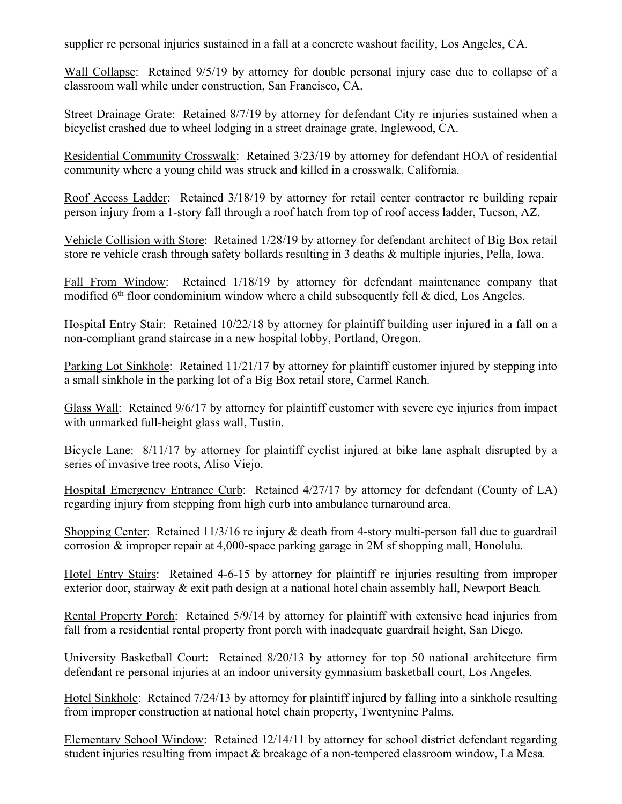supplier re personal injuries sustained in a fall at a concrete washout facility, Los Angeles, CA.

Wall Collapse: Retained 9/5/19 by attorney for double personal injury case due to collapse of a classroom wall while under construction, San Francisco, CA.

Street Drainage Grate: Retained 8/7/19 by attorney for defendant City re injuries sustained when a bicyclist crashed due to wheel lodging in a street drainage grate, Inglewood, CA.

Residential Community Crosswalk: Retained 3/23/19 by attorney for defendant HOA of residential community where a young child was struck and killed in a crosswalk, California.

Roof Access Ladder: Retained 3/18/19 by attorney for retail center contractor re building repair person injury from a 1-story fall through a roof hatch from top of roof access ladder, Tucson, AZ.

Vehicle Collision with Store: Retained 1/28/19 by attorney for defendant architect of Big Box retail store re vehicle crash through safety bollards resulting in 3 deaths & multiple injuries, Pella, Iowa.

Fall From Window: Retained 1/18/19 by attorney for defendant maintenance company that modified  $6<sup>th</sup>$  floor condominium window where a child subsequently fell & died, Los Angeles.

Hospital Entry Stair: Retained 10/22/18 by attorney for plaintiff building user injured in a fall on a non-compliant grand staircase in a new hospital lobby, Portland, Oregon.

Parking Lot Sinkhole: Retained 11/21/17 by attorney for plaintiff customer injured by stepping into a small sinkhole in the parking lot of a Big Box retail store, Carmel Ranch.

Glass Wall: Retained 9/6/17 by attorney for plaintiff customer with severe eye injuries from impact with unmarked full-height glass wall, Tustin.

Bicycle Lane: 8/11/17 by attorney for plaintiff cyclist injured at bike lane asphalt disrupted by a series of invasive tree roots, Aliso Viejo.

Hospital Emergency Entrance Curb: Retained 4/27/17 by attorney for defendant (County of LA) regarding injury from stepping from high curb into ambulance turnaround area.

Shopping Center: Retained 11/3/16 re injury & death from 4-story multi-person fall due to guardrail corrosion & improper repair at 4,000-space parking garage in 2M sf shopping mall, Honolulu.

Hotel Entry Stairs: Retained 4-6-15 by attorney for plaintiff re injuries resulting from improper exterior door, stairway & exit path design at a national hotel chain assembly hall, Newport Beach*.*

Rental Property Porch: Retained 5/9/14 by attorney for plaintiff with extensive head injuries from fall from a residential rental property front porch with inadequate guardrail height, San Diego*.*

University Basketball Court: Retained 8/20/13 by attorney for top 50 national architecture firm defendant re personal injuries at an indoor university gymnasium basketball court, Los Angeles*.*

Hotel Sinkhole: Retained 7/24/13 by attorney for plaintiff injured by falling into a sinkhole resulting from improper construction at national hotel chain property, Twentynine Palms*.*

Elementary School Window: Retained 12/14/11 by attorney for school district defendant regarding student injuries resulting from impact & breakage of a non-tempered classroom window, La Mesa*.*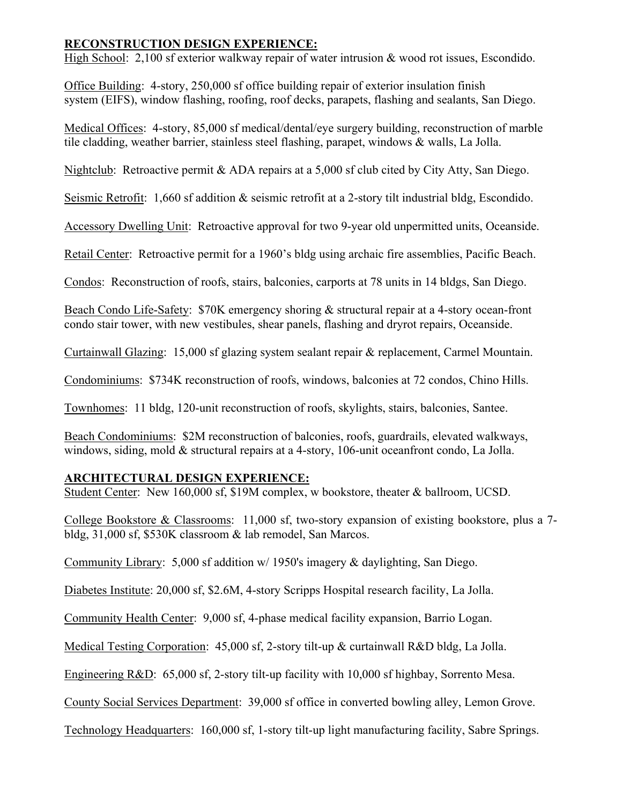#### **RECONSTRUCTION DESIGN EXPERIENCE:**

High School: 2,100 sf exterior walkway repair of water intrusion & wood rot issues, Escondido.

Office Building: 4-story, 250,000 sf office building repair of exterior insulation finish system (EIFS), window flashing, roofing, roof decks, parapets, flashing and sealants, San Diego.

Medical Offices: 4-story, 85,000 sf medical/dental/eye surgery building, reconstruction of marble tile cladding, weather barrier, stainless steel flashing, parapet, windows & walls, La Jolla.

Nightclub: Retroactive permit & ADA repairs at a 5,000 sf club cited by City Atty, San Diego.

Seismic Retrofit: 1,660 sf addition & seismic retrofit at a 2-story tilt industrial bldg, Escondido.

Accessory Dwelling Unit: Retroactive approval for two 9-year old unpermitted units, Oceanside.

Retail Center: Retroactive permit for a 1960's bldg using archaic fire assemblies, Pacific Beach.

Condos: Reconstruction of roofs, stairs, balconies, carports at 78 units in 14 bldgs, San Diego.

Beach Condo Life-Safety: \$70K emergency shoring & structural repair at a 4-story ocean-front condo stair tower, with new vestibules, shear panels, flashing and dryrot repairs, Oceanside.

Curtainwall Glazing: 15,000 sf glazing system sealant repair & replacement, Carmel Mountain.

Condominiums: \$734K reconstruction of roofs, windows, balconies at 72 condos, Chino Hills.

Townhomes: 11 bldg, 120-unit reconstruction of roofs, skylights, stairs, balconies, Santee.

Beach Condominiums: \$2M reconstruction of balconies, roofs, guardrails, elevated walkways, windows, siding, mold & structural repairs at a 4-story, 106-unit oceanfront condo, La Jolla.

# **ARCHITECTURAL DESIGN EXPERIENCE:**

Student Center: New 160,000 sf, \$19M complex, w bookstore, theater & ballroom, UCSD.

College Bookstore & Classrooms: 11,000 sf, two-story expansion of existing bookstore, plus a 7 bldg, 31,000 sf, \$530K classroom & lab remodel, San Marcos.

Community Library: 5,000 sf addition w/ 1950's imagery & daylighting, San Diego.

Diabetes Institute: 20,000 sf, \$2.6M, 4-story Scripps Hospital research facility, La Jolla.

Community Health Center: 9,000 sf, 4-phase medical facility expansion, Barrio Logan.

Medical Testing Corporation: 45,000 sf, 2-story tilt-up & curtainwall R&D bldg, La Jolla.

Engineering R&D: 65,000 sf, 2-story tilt-up facility with 10,000 sf highbay, Sorrento Mesa.

County Social Services Department: 39,000 sf office in converted bowling alley, Lemon Grove.

Technology Headquarters: 160,000 sf, 1-story tilt-up light manufacturing facility, Sabre Springs.